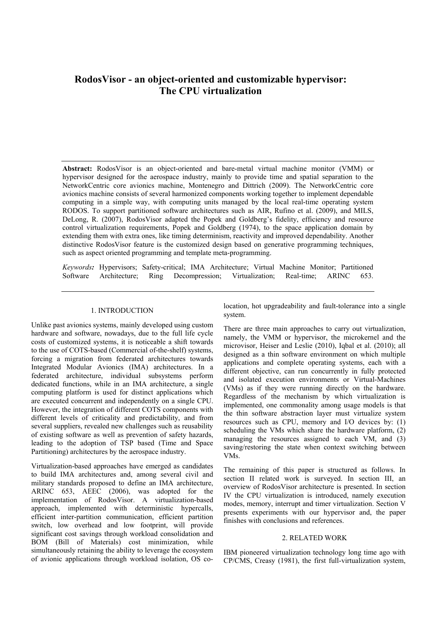# **RodosVisor - an object-oriented and customizable hypervisor: The CPU virtualization**

**Abstract:** RodosVisor is an object-oriented and bare-metal virtual machine monitor (VMM) or hypervisor designed for the aerospace industry, mainly to provide time and spatial separation to the NetworkCentric core avionics machine, Montenegro and Dittrich (2009). The NetworkCentric core avionics machine consists of several harmonized components working together to implement dependable computing in a simple way, with computing units managed by the local real-time operating system RODOS. To support partitioned software architectures such as AIR, Rufino et al. (2009), and MILS, DeLong, R. (2007), RodosVisor adapted the Popek and Goldberg's fidelity, efficiency and resource control virtualization requirements, Popek and Goldberg (1974), to the space application domain by extending them with extra ones, like timing determinism, reactivity and improved dependability. Another distinctive RodosVisor feature is the customized design based on generative programming techniques, such as aspect oriented programming and template meta-programming.

*Keywords:* Hypervisors; Safety-critical; IMA Architecture; Virtual Machine Monitor; Partitioned Software Architecture; Ring Decompression; Virtualization; Real-time; ARINC 653.

## 1. INTRODUCTION

Unlike past avionics systems, mainly developed using custom hardware and software, nowadays, due to the full life cycle costs of customized systems, it is noticeable a shift towards to the use of COTS-based (Commercial of-the-shelf) systems, forcing a migration from federated architectures towards Integrated Modular Avionics (IMA) architectures. In a federated architecture, individual subsystems perform dedicated functions, while in an IMA architecture, a single computing platform is used for distinct applications which are executed concurrent and independently on a single CPU. However, the integration of different COTS components with different levels of criticality and predictability, and from several suppliers, revealed new challenges such as reusability of existing software as well as prevention of safety hazards, leading to the adoption of TSP based (Time and Space Partitioning) architectures by the aerospace industry.

Virtualization-based approaches have emerged as candidates to build IMA architectures and, among several civil and military standards proposed to define an IMA architecture, ARINC 653, AEEC (2006), was adopted for the implementation of RodosVisor. A virtualization-based approach, implemented with deterministic hypercalls, efficient inter-partition communication, efficient partition switch, low overhead and low footprint, will provide significant cost savings through workload consolidation and BOM (Bill of Materials) cost minimization, while simultaneously retaining the ability to leverage the ecosystem of avionic applications through workload isolation, OS colocation, hot upgradeability and fault-tolerance into a single system.

There are three main approaches to carry out virtualization, namely, the VMM or hypervisor, the microkernel and the microvisor, Heiser and Leslie (2010), Iqbal et al. (2010); all designed as a thin software environment on which multiple applications and complete operating systems, each with a different objective, can run concurrently in fully protected and isolated execution environments or Virtual-Machines (VMs) as if they were running directly on the hardware. Regardless of the mechanism by which virtualization is implemented, one commonality among usage models is that the thin software abstraction layer must virtualize system resources such as CPU, memory and I/O devices by: (1) scheduling the VMs which share the hardware platform, (2) managing the resources assigned to each VM, and  $(3)$ saving/restoring the state when context switching between VMs.

The remaining of this paper is structured as follows. In section II related work is surveyed. In section III, an overview of RodosVisor architecture is presented. In section IV the CPU virtualization is introduced, namely execution modes, memory, interrupt and timer virtualization. Section V presents experiments with our hypervisor and, the paper finishes with conclusions and references.

# 2. RELATED WORK

IBM pioneered virtualization technology long time ago with CP/CMS, Creasy (1981), the first full-virtualization system,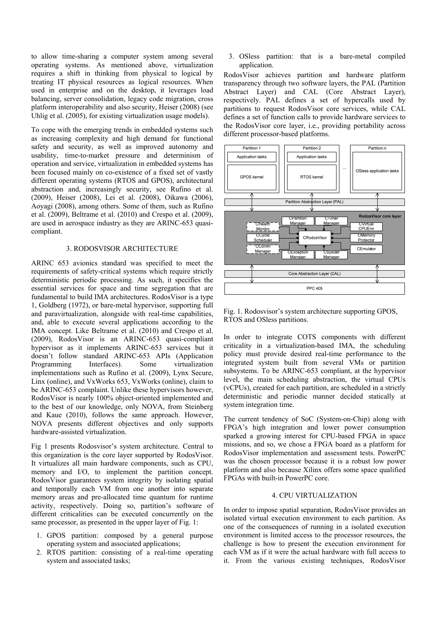to allow time-sharing a computer system among several operating systems. As mentioned above, virtualization requires a shift in thinking from physical to logical by treating IT physical resources as logical resources. When used in enterprise and on the desktop, it leverages load balancing, server consolidation, legacy code migration, cross platform interoperability and also security, Heiser (2008) (see Uhlig et al. (2005), for existing virtualization usage models).

To cope with the emerging trends in embedded systems such as increasing complexity and high demand for functional safety and security, as well as improved autonomy and usability, time-to-market pressure and determinism of operation and service, virtualization in embedded systems has been focused mainly on co-existence of a fixed set of vastly different operating systems (RTOS and GPOS), architectural abstraction and, increasingly security, see Rufino et al. (2009), Heiser (2008), Lei et al. (2008), Oikawa (2006), Aoyagi (2008), among others. Some of them, such as Rufino et al. (2009), Beltrame et al. (2010) and Crespo et al. (2009), are used in aerospace industry as they are ARINC-653 quasicompliant.

## 3. RODOSVISOR ARCHITECTURE

ARINC 653 avionics standard was specified to meet the requirements of safety-critical systems which require strictly deterministic periodic processing. As such, it specifies the essential services for space and time segregation that are fundamental to build IMA architectures. RodosVisor is a type 1, Goldberg (1972), or bare-metal hypervisor, supporting full and paravirtualization, alongside with real-time capabilities, and, able to execute several applications according to the IMA concept. Like Beltrame et al. (2010) and Crespo et al. (2009), RodosVisor is an ARINC-653 quasi-compliant hypervisor as it implements ARINC-653 services but it doesn't follow standard ARINC-653 APIs (Application Programming Interfaces). Some virtualization implementations such as Rufino et al. (2009), Lynx Secure, Linx (online), and VxWorks 653, VxWorks (online), claim to be ARINC-653 complaint. Unlike these hypervisors however, RodosVisor is nearly 100% object-oriented implemented and to the best of our knowledge, only NOVA, from Steinberg and Kaue (2010), follows the same approach. However, NOVA presents different objectives and only supports hardware-assisted virtualization.

Fig 1 presents Rodosvisor's system architecture. Central to this organization is the core layer supported by RodosVisor. It virtualizes all main hardware components, such as CPU, memory and I/O, to implement the partition concept. RodosVisor guarantees system integrity by isolating spatial and temporally each VM from one another into separate memory areas and pre-allocated time quantum for runtime activity, respectively. Doing so, partition's software of different criticalities can be executed concurrently on the same processor, as presented in the upper layer of Fig. 1:

- 1. GPOS partition: composed by a general purpose operating system and associated applications;
- 2. RTOS partition: consisting of a real-time operating system and associated tasks;

3. OSless partition: that is a bare-metal compiled application.

RodosVisor achieves partition and hardware platform transparency through two software layers, the PAL (Partition Abstract Layer) and CAL (Core Abstract Layer), respectively. PAL defines a set of hypercalls used by partitions to request RodosVisor core services, while CAL defines a set of function calls to provide hardware services to the RodosVisor core layer, i.e., providing portability across different processor-based platforms.



Fig. 1. Rodosvisor's system architecture supporting GPOS, RTOS and OSless partitions.

In order to integrate COTS components with different criticality in a virtualization-based IMA, the scheduling policy must provide desired real-time performance to the integrated system built from several VMs or partition subsystems. To be ARINC-653 compliant, at the hypervisor level, the main scheduling abstraction, the virtual CPUs (vCPUs), created for each partition, are scheduled in a strictly deterministic and periodic manner decided statically at system integration time.

The current tendency of SoC (System-on-Chip) along with FPGA's high integration and lower power consumption sparked a growing interest for CPU-based FPGA in space missions, and so, we chose a FPGA board as a platform for RodosVisor implementation and assessment tests. PowerPC was the chosen processor because it is a robust low power platform and also because Xilinx offers some space qualified FPGAs with built-in PowerPC core.

# 4. CPU VIRTUALIZATION

In order to impose spatial separation, RodosVisor provides an isolated virtual execution environment to each partition. As one of the consequences of running in a isolated execution environment is limited access to the processor resources, the challenge is how to present the execution environment for each VM as if it were the actual hardware with full access to it. From the various existing techniques, RodosVisor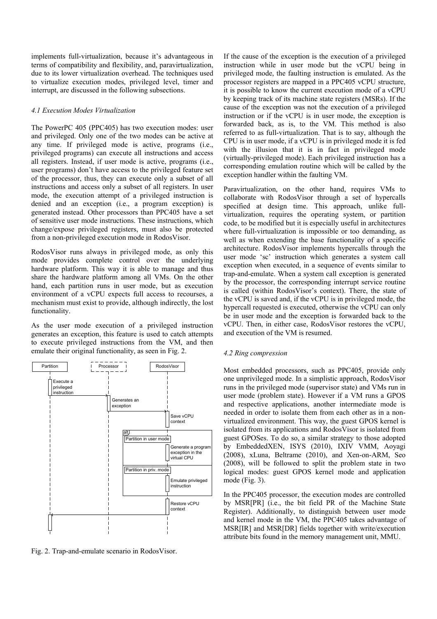implements full-virtualization, because it's advantageous in terms of compatibility and flexibility, and, paravirtualization, due to its lower virtualization overhead. The techniques used to virtualize execution modes, privileged level, timer and interrupt, are discussed in the following subsections.

# *4.1 Execution Modes Virtualization*

The PowerPC 405 (PPC405) has two execution modes: user and privileged. Only one of the two modes can be active at any time. If privileged mode is active, programs (i.e., privileged programs) can execute all instructions and access all registers. Instead, if user mode is active, programs (i.e., user programs) don't have access to the privileged feature set of the processor, thus, they can execute only a subset of all instructions and access only a subset of all registers. In user mode, the execution attempt of a privileged instruction is denied and an exception (i.e., a program exception) is generated instead. Other processors than PPC405 have a set of sensitive user mode instructions. These instructions, which change/expose privileged registers, must also be protected from a non-privileged execution mode in RodosVisor.

RodosVisor runs always in privileged mode, as only this mode provides complete control over the underlying hardware platform. This way it is able to manage and thus share the hardware platform among all VMs. On the other hand, each partition runs in user mode, but as execution environment of a vCPU expects full access to recourses, a mechanism must exist to provide, although indirectly, the lost functionality.

As the user mode execution of a privileged instruction generates an exception, this feature is used to catch attempts to execute privileged instructions from the VM, and then emulate their original functionality, as seen in Fig. 2.



Fig. 2. Trap-and-emulate scenario in RodosVisor.

If the cause of the exception is the execution of a privileged instruction while in user mode but the vCPU being in privileged mode, the faulting instruction is emulated. As the processor registers are mapped in a PPC405 vCPU structure, it is possible to know the current execution mode of a vCPU by keeping track of its machine state registers (MSRs). If the cause of the exception was not the execution of a privileged instruction or if the vCPU is in user mode, the exception is forwarded back, as is, to the VM. This method is also referred to as full-virtualization. That is to say, although the CPU is in user mode, if a vCPU is in privileged mode it is fed with the illusion that it is in fact in privileged mode (virtually-privileged mode). Each privileged instruction has a corresponding emulation routine which will be called by the exception handler within the faulting VM.

Paravirtualization, on the other hand, requires VMs to collaborate with RodosVisor through a set of hypercalls specified at design time. This approach, unlike fullvirtualization, requires the operating system, or partition code, to be modified but it is especially useful in architectures where full-virtualization is impossible or too demanding, as well as when extending the base functionality of a specific architecture. RodosVisor implements hypercalls through the user mode 'sc' instruction which generates a system call exception when executed, in a sequence of events similar to trap-and-emulate. When a system call exception is generated by the processor, the corresponding interrupt service routine is called (within RodosVisor's context). There, the state of the vCPU is saved and, if the vCPU is in privileged mode, the hypercall requested is executed, otherwise the vCPU can only be in user mode and the exception is forwarded back to the vCPU. Then, in either case, RodosVisor restores the vCPU, and execution of the VM is resumed.

# *4.2 Ring compression*

Most embedded processors, such as PPC405, provide only one unprivileged mode. In a simplistic approach, RodosVisor runs in the privileged mode (supervisor state) and VMs run in user mode (problem state). However if a VM runs a GPOS and respective applications, another intermediate mode is needed in order to isolate them from each other as in a nonvirtualized environment. This way, the guest GPOS kernel is isolated from its applications and RodosVisor is isolated from guest GPOSes. To do so, a similar strategy to those adopted by EmbeddedXEN, ISYS (2010), IXIV VMM, Aoyagi (2008), xLuna, Beltrame (2010), and Xen-on-ARM, Seo (2008), will be followed to split the problem state in two logical modes: guest GPOS kernel mode and application mode (Fig. 3).

In the PPC405 processor, the execution modes are controlled by MSR[PR] (i.e., the bit field PR of the Machine State Register). Additionally, to distinguish between user mode and kernel mode in the VM, the PPC405 takes advantage of MSR[IR] and MSR[DR] fields together with write/execution attribute bits found in the memory management unit, MMU.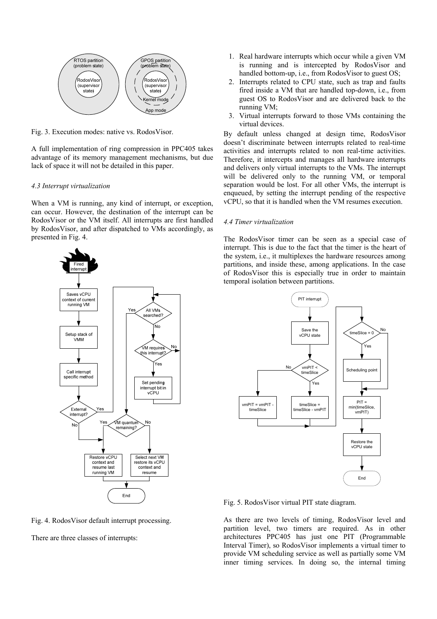

Fig. 3. Execution modes: native vs. RodosVisor.

A full implementation of ring compression in PPC405 takes advantage of its memory management mechanisms, but due lack of space it will not be detailed in this paper.

#### *4.3 Interrupt virtualization*

When a VM is running, any kind of interrupt, or exception, can occur. However, the destination of the interrupt can be RodosVisor or the VM itself. All interrupts are first handled by RodosVisor, and after dispatched to VMs accordingly, as presented in Fig. 4.



Fig. 4. RodosVisor default interrupt processing.

There are three classes of interrupts:

- 1. Real hardware interrupts which occur while a given VM is running and is intercepted by RodosVisor and handled bottom-up, i.e., from RodosVisor to guest OS;
- 2. Interrupts related to CPU state, such as trap and faults fired inside a VM that are handled top-down, i.e., from guest OS to RodosVisor and are delivered back to the running VM;
- 3. Virtual interrupts forward to those VMs containing the virtual devices.

By default unless changed at design time, RodosVisor doesn't discriminate between interrupts related to real-time activities and interrupts related to non real-time activities. Therefore, it intercepts and manages all hardware interrupts and delivers only virtual interrupts to the VMs. The interrupt will be delivered only to the running VM, or temporal separation would be lost. For all other VMs, the interrupt is enqueued, by setting the interrupt pending of the respective vCPU, so that it is handled when the VM resumes execution.

## *4.4 Timer virtualization*

The RodosVisor timer can be seen as a special case of interrupt. This is due to the fact that the timer is the heart of the system, i.e., it multiplexes the hardware resources among partitions, and inside these, among applications. In the case of RodosVisor this is especially true in order to maintain temporal isolation between partitions.



Fig. 5. RodosVisor virtual PIT state diagram.

As there are two levels of timing, RodosVisor level and partition level, two timers are required. As in other architectures PPC405 has just one PIT (Programmable Interval Timer), so RodosVisor implements a virtual timer to provide VM scheduling service as well as partially some VM inner timing services. In doing so, the internal timing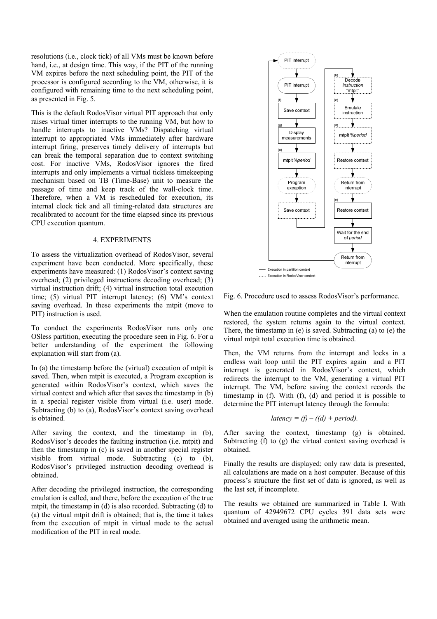resolutions (i.e., clock tick) of all VMs must be known before hand, i.e., at design time. This way, if the PIT of the running VM expires before the next scheduling point, the PIT of the processor is configured according to the VM, otherwise, it is configured with remaining time to the next scheduling point, as presented in Fig. 5.

This is the default RodosVisor virtual PIT approach that only raises virtual timer interrupts to the running VM, but how to handle interrupts to inactive VMs? Dispatching virtual interrupt to appropriated VMs immediately after hardware interrupt firing, preserves timely delivery of interrupts but can break the temporal separation due to context switching cost. For inactive VMs, RodosVisor ignores the fired interrupts and only implements a virtual tickless timekeeping mechanism based on TB (Time-Base) unit to measure the passage of time and keep track of the wall-clock time. Therefore, when a VM is rescheduled for execution, its internal clock tick and all timing-related data structures are recalibrated to account for the time elapsed since its previous CPU execution quantum.

# 4. EXPERIMENTS

To assess the virtualization overhead of RodosVisor, several experiment have been conducted. More specifically, these experiments have measured: (1) RodosVisor's context saving overhead; (2) privileged instructions decoding overhead; (3) virtual instruction drift; (4) virtual instruction total execution time; (5) virtual PIT interrupt latency; (6) VM's context saving overhead. In these experiments the mtpit (move to PIT) instruction is used.

To conduct the experiments RodosVisor runs only one OSless partition, executing the procedure seen in Fig. 6. For a better understanding of the experiment the following explanation will start from (a).

In (a) the timestamp before the (virtual) execution of mtpit is saved. Then, when mtpit is executed, a Program exception is generated within RodosVisor's context, which saves the virtual context and which after that saves the timestamp in (b) in a special register visible from virtual (i.e. user) mode. Subtracting (b) to (a), RodosVisor's context saving overhead is obtained.

After saving the context, and the timestamp in (b), RodosVisor's decodes the faulting instruction (i.e. mtpit) and then the timestamp in (c) is saved in another special register visible from virtual mode. Subtracting (c) to (b), RodosVisor's privileged instruction decoding overhead is obtained.

After decoding the privileged instruction, the corresponding emulation is called, and there, before the execution of the true mtpit, the timestamp in (d) is also recorded. Subtracting (d) to (a) the virtual mtpit drift is obtained; that is, the time it takes from the execution of mtpit in virtual mode to the actual modification of the PIT in real mode.



Fig. 6. Procedure used to assess RodosVisor's performance.

When the emulation routine completes and the virtual context restored, the system returns again to the virtual context. There, the timestamp in (e) is saved. Subtracting (a) to (e) the virtual mtpit total execution time is obtained.

Then, the VM returns from the interrupt and locks in a endless wait loop until the PIT expires again and a PIT interrupt is generated in RodosVisor's context, which redirects the interrupt to the VM, generating a virtual PIT interrupt. The VM, before saving the context records the timestamp in (f). With (f), (d) and period it is possible to determine the PIT interrupt latency through the formula:

$$
latency = (f) - ((d) + period).
$$

After saving the context, timestamp (g) is obtained. Subtracting (f) to (g) the virtual context saving overhead is obtained.

Finally the results are displayed; only raw data is presented, all calculations are made on a host computer. Because of this process's structure the first set of data is ignored, as well as the last set, if incomplete.

The results we obtained are summarized in Table I. With quantum of 42949672 CPU cycles 391 data sets were obtained and averaged using the arithmetic mean.